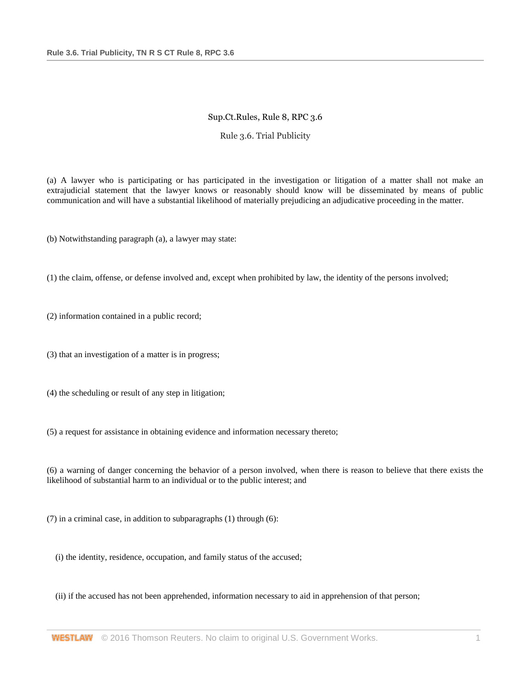## Sup.Ct.Rules, Rule 8, RPC 3.6

## Rule 3.6. Trial Publicity

(a) A lawyer who is participating or has participated in the investigation or litigation of a matter shall not make an extrajudicial statement that the lawyer knows or reasonably should know will be disseminated by means of public communication and will have a substantial likelihood of materially prejudicing an adjudicative proceeding in the matter.

(b) Notwithstanding paragraph (a), a lawyer may state:

(1) the claim, offense, or defense involved and, except when prohibited by law, the identity of the persons involved;

(2) information contained in a public record;

(3) that an investigation of a matter is in progress;

(4) the scheduling or result of any step in litigation;

(5) a request for assistance in obtaining evidence and information necessary thereto;

(6) a warning of danger concerning the behavior of a person involved, when there is reason to believe that there exists the likelihood of substantial harm to an individual or to the public interest; and

(7) in a criminal case, in addition to subparagraphs (1) through (6):

(i) the identity, residence, occupation, and family status of the accused;

(ii) if the accused has not been apprehended, information necessary to aid in apprehension of that person;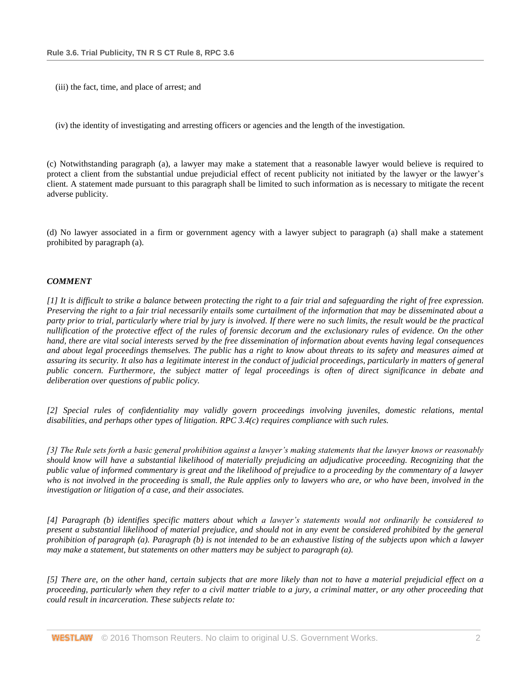(iii) the fact, time, and place of arrest; and

(iv) the identity of investigating and arresting officers or agencies and the length of the investigation.

(c) Notwithstanding paragraph (a), a lawyer may make a statement that a reasonable lawyer would believe is required to protect a client from the substantial undue prejudicial effect of recent publicity not initiated by the lawyer or the lawyer's client. A statement made pursuant to this paragraph shall be limited to such information as is necessary to mitigate the recent adverse publicity.

(d) No lawyer associated in a firm or government agency with a lawyer subject to paragraph (a) shall make a statement prohibited by paragraph (a).

## *COMMENT*

*[1] It is difficult to strike a balance between protecting the right to a fair trial and safeguarding the right of free expression. Preserving the right to a fair trial necessarily entails some curtailment of the information that may be disseminated about a party prior to trial, particularly where trial by jury is involved. If there were no such limits, the result would be the practical nullification of the protective effect of the rules of forensic decorum and the exclusionary rules of evidence. On the other hand, there are vital social interests served by the free dissemination of information about events having legal consequences and about legal proceedings themselves. The public has a right to know about threats to its safety and measures aimed at assuring its security. It also has a legitimate interest in the conduct of judicial proceedings, particularly in matters of general public concern. Furthermore, the subject matter of legal proceedings is often of direct significance in debate and deliberation over questions of public policy.*

*[2] Special rules of confidentiality may validly govern proceedings involving juveniles, domestic relations, mental disabilities, and perhaps other types of litigation. RPC 3.4(c) requires compliance with such rules.*

*[3] The Rule sets forth a basic general prohibition against a lawyer's making statements that the lawyer knows or reasonably should know will have a substantial likelihood of materially prejudicing an adjudicative proceeding. Recognizing that the public value of informed commentary is great and the likelihood of prejudice to a proceeding by the commentary of a lawyer*  who is not involved in the proceeding is small, the Rule applies only to lawyers who are, or who have been, involved in the *investigation or litigation of a case, and their associates.*

*[4] Paragraph (b) identifies specific matters about which a lawyer's statements would not ordinarily be considered to present a substantial likelihood of material prejudice, and should not in any event be considered prohibited by the general prohibition of paragraph (a). Paragraph (b) is not intended to be an exhaustive listing of the subjects upon which a lawyer may make a statement, but statements on other matters may be subject to paragraph (a).*

*[5] There are, on the other hand, certain subjects that are more likely than not to have a material prejudicial effect on a proceeding, particularly when they refer to a civil matter triable to a jury, a criminal matter, or any other proceeding that could result in incarceration. These subjects relate to:*